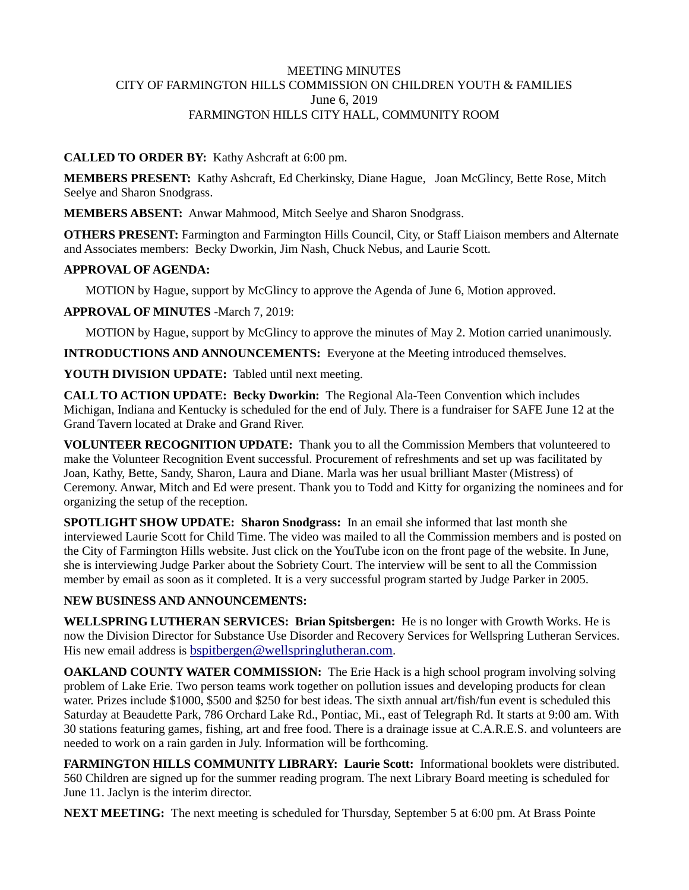### MEETING MINUTES CITY OF FARMINGTON HILLS COMMISSION ON CHILDREN YOUTH & FAMILIES June 6, 2019 FARMINGTON HILLS CITY HALL, COMMUNITY ROOM

# **CALLED TO ORDER BY:** Kathy Ashcraft at 6:00 pm.

**MEMBERS PRESENT:** Kathy Ashcraft, Ed Cherkinsky, Diane Hague, Joan McGlincy, Bette Rose, Mitch Seelye and Sharon Snodgrass.

**MEMBERS ABSENT:** Anwar Mahmood, Mitch Seelye and Sharon Snodgrass.

**OTHERS PRESENT:** Farmington and Farmington Hills Council, City, or Staff Liaison members and Alternate and Associates members: Becky Dworkin, Jim Nash, Chuck Nebus, and Laurie Scott.

# **APPROVAL OF AGENDA:**

MOTION by Hague, support by McGlincy to approve the Agenda of June 6, Motion approved.

**APPROVAL OF MINUTES** -March 7, 2019:

MOTION by Hague, support by McGlincy to approve the minutes of May 2. Motion carried unanimously.

**INTRODUCTIONS AND ANNOUNCEMENTS:** Everyone at the Meeting introduced themselves.

**YOUTH DIVISION UPDATE:** Tabled until next meeting.

**CALL TO ACTION UPDATE: Becky Dworkin:** The Regional Ala-Teen Convention which includes Michigan, Indiana and Kentucky is scheduled for the end of July. There is a fundraiser for SAFE June 12 at the Grand Tavern located at Drake and Grand River.

**VOLUNTEER RECOGNITION UPDATE:** Thank you to all the Commission Members that volunteered to make the Volunteer Recognition Event successful. Procurement of refreshments and set up was facilitated by Joan, Kathy, Bette, Sandy, Sharon, Laura and Diane. Marla was her usual brilliant Master (Mistress) of Ceremony. Anwar, Mitch and Ed were present. Thank you to Todd and Kitty for organizing the nominees and for organizing the setup of the reception.

**SPOTLIGHT SHOW UPDATE: Sharon Snodgrass:** In an email she informed that last month she interviewed Laurie Scott for Child Time. The video was mailed to all the Commission members and is posted on the City of Farmington Hills website. Just click on the YouTube icon on the front page of the website. In June, she is interviewing Judge Parker about the Sobriety Court. The interview will be sent to all the Commission member by email as soon as it completed. It is a very successful program started by Judge Parker in 2005.

#### **NEW BUSINESS AND ANNOUNCEMENTS:**

**WELLSPRING LUTHERAN SERVICES: Brian Spitsbergen:** He is no longer with Growth Works. He is now the Division Director for Substance Use Disorder and Recovery Services for Wellspring Lutheran Services. His new email address is [bspitbergen@wellspringlutheran.com.](mailto:bspitbergen@wellspringlutheran.com)

**OAKLAND COUNTY WATER COMMISSION:** The Erie Hack is a high school program involving solving problem of Lake Erie. Two person teams work together on pollution issues and developing products for clean water. Prizes include \$1000, \$500 and \$250 for best ideas. The sixth annual art/fish/fun event is scheduled this Saturday at Beaudette Park, 786 Orchard Lake Rd., Pontiac, Mi., east of Telegraph Rd. It starts at 9:00 am. With 30 stations featuring games, fishing, art and free food. There is a drainage issue at C.A.R.E.S. and volunteers are needed to work on a rain garden in July. Information will be forthcoming.

**FARMINGTON HILLS COMMUNITY LIBRARY: Laurie Scott:** Informational booklets were distributed. 560 Children are signed up for the summer reading program. The next Library Board meeting is scheduled for June 11. Jaclyn is the interim director.

**NEXT MEETING:** The next meeting is scheduled for Thursday, September 5 at 6:00 pm. At Brass Pointe